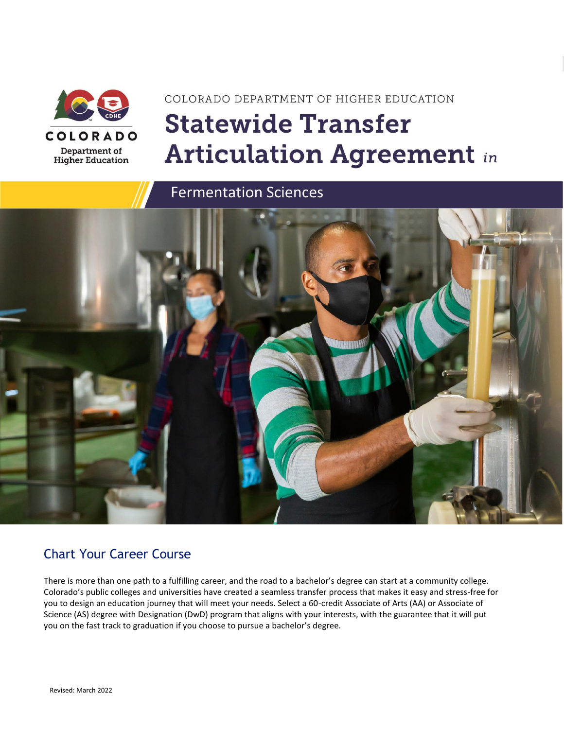

# COLORADO DEPARTMENT OF HIGHER EDUCATION **Statewide Transfer Articulation Agreement in**

Fermentation Sciences



### Chart Your Career Course

There is more than one path to a fulfilling career, and the road to a bachelor's degree can start at a community college. Colorado's public colleges and universities have created a seamless transfer process that makes it easy and stress-free for you to design an education journey that will meet your needs. Select a 60-credit Associate of Arts (AA) or Associate of Science (AS) degree with Designation (DwD) program that aligns with your interests, with the guarantee that it will put you on the fast track to graduation if you choose to pursue a bachelor's degree.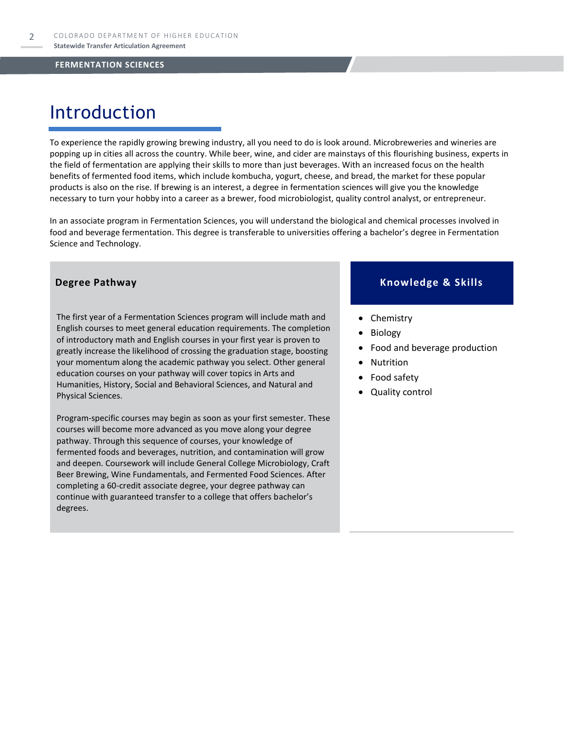### Introduction

To experience the rapidly growing brewing industry, all you need to do is look around. Microbreweries and wineries are popping up in cities all across the country. While beer, wine, and cider are mainstays of this flourishing business, experts in the field of fermentation are applying their skills to more than just beverages. With an increased focus on the health benefits of fermented food items, which include kombucha, yogurt, cheese, and bread, the market for these popular products is also on the rise. If brewing is an interest, a degree in fermentation sciences will give you the knowledge necessary to turn your hobby into a career as a brewer, food microbiologist, quality control analyst, or entrepreneur.

In an associate program in Fermentation Sciences, you will understand the biological and chemical processes involved in food and beverage fermentation. This degree is transferable to universities offering a bachelor's degree in Fermentation Science and Technology.

The first year of a Fermentation Sciences program will include math and English courses to meet general education requirements. The completion of introductory math and English courses in your first year is proven to greatly increase the likelihood of crossing the graduation stage, boosting your momentum along the academic pathway you select. Other general education courses on your pathway will cover topics in Arts and Humanities, History, Social and Behavioral Sciences, and Natural and Physical Sciences.

Program-specific courses may begin as soon as your first semester. These courses will become more advanced as you move along your degree pathway. Through this sequence of courses, your knowledge of fermented foods and beverages, nutrition, and contamination will grow and deepen. Coursework will include General College Microbiology, Craft Beer Brewing, Wine Fundamentals, and Fermented Food Sciences. After completing a 60-credit associate degree, your degree pathway can continue with guaranteed transfer to a college that offers bachelor's degrees.

#### **Degree Pathway Knowledge & Skills**

- Chemistry
- **Biology**
- Food and beverage production
- **Nutrition**
- Food safety
- Quality control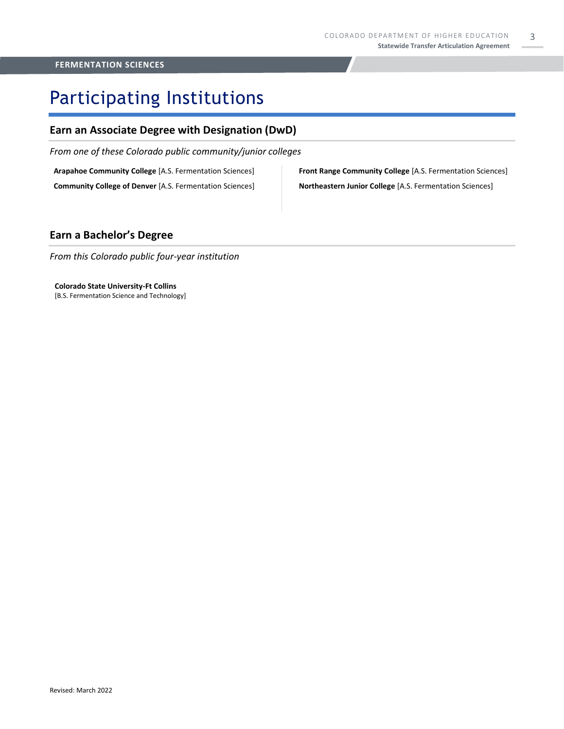# Participating Institutions

#### **Earn an Associate Degree with Designation (DwD)**

*From one of these Colorado public community/junior colleges*

**Arapahoe Community College** [A.S. Fermentation Sciences]

**Community College of Denver** [A.S. Fermentation Sciences]

**Front Range Community College** [A.S. Fermentation Sciences] **Northeastern Junior College** [A.S. Fermentation Sciences]

### **Earn a Bachelor's Degree**

*From this Colorado public four-year institution*

**Colorado State University-Ft Collins**  [B.S. Fermentation Science and Technology]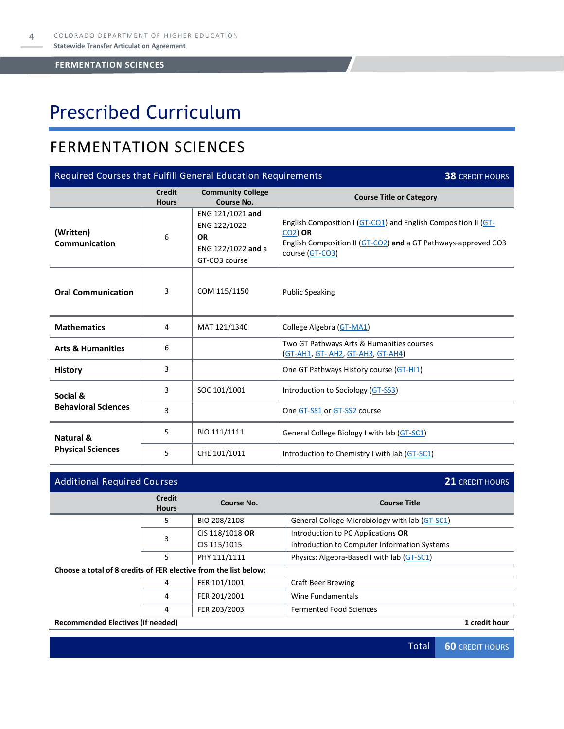# Prescribed Curriculum

### FERMENTATION SCIENCES

| Required Courses that Fulfill General Education Requirements<br><b>38 CREDIT HOURS</b> |                               |                                                                                      |                                                                                                                                                                       |  |  |
|----------------------------------------------------------------------------------------|-------------------------------|--------------------------------------------------------------------------------------|-----------------------------------------------------------------------------------------------------------------------------------------------------------------------|--|--|
|                                                                                        | <b>Credit</b><br><b>Hours</b> | <b>Community College</b><br>Course No.                                               | <b>Course Title or Category</b>                                                                                                                                       |  |  |
| (Written)<br>Communication                                                             | 6                             | ENG 121/1021 and<br>ENG 122/1022<br><b>OR</b><br>ENG 122/1022 and a<br>GT-CO3 course | English Composition I (GT-CO1) and English Composition II (GT-<br><b>CO2) OR</b><br>English Composition II (GT-CO2) and a GT Pathways-approved CO3<br>course (GT-CO3) |  |  |
| <b>Oral Communication</b>                                                              | 3                             | COM 115/1150                                                                         | <b>Public Speaking</b>                                                                                                                                                |  |  |
| <b>Mathematics</b>                                                                     | 4                             | MAT 121/1340                                                                         | College Algebra (GT-MA1)                                                                                                                                              |  |  |
| <b>Arts &amp; Humanities</b>                                                           | 6                             |                                                                                      | Two GT Pathways Arts & Humanities courses<br><b>(GT-AH1, GT- AH2, GT-AH3, GT-AH4)</b>                                                                                 |  |  |
| <b>History</b>                                                                         | 3                             |                                                                                      | One GT Pathways History course (GT-HI1)                                                                                                                               |  |  |
| Social &                                                                               | 3                             | SOC 101/1001                                                                         | Introduction to Sociology (GT-SS3)                                                                                                                                    |  |  |
| <b>Behavioral Sciences</b>                                                             | 3                             |                                                                                      | One GT-SS1 or GT-SS2 course                                                                                                                                           |  |  |
| Natural &                                                                              | 5                             | BIO 111/1111                                                                         | General College Biology I with lab (GT-SC1)                                                                                                                           |  |  |
| <b>Physical Sciences</b>                                                               | 5                             | CHE 101/1011                                                                         | Introduction to Chemistry I with lab (GT-SC1)                                                                                                                         |  |  |

| <b>Additional Required Courses</b>                               |                               |                 |                                                | <b>21 CREDIT HOURS</b> |
|------------------------------------------------------------------|-------------------------------|-----------------|------------------------------------------------|------------------------|
|                                                                  | <b>Credit</b><br><b>Hours</b> | Course No.      | <b>Course Title</b>                            |                        |
|                                                                  | 5.                            | BIO 208/2108    | General College Microbiology with lab (GT-SC1) |                        |
|                                                                  | 3                             | CIS 118/1018 OR | Introduction to PC Applications OR             |                        |
|                                                                  |                               | CIS 115/1015    | Introduction to Computer Information Systems   |                        |
|                                                                  | 5.                            | PHY 111/1111    | Physics: Algebra-Based I with lab (GT-SC1)     |                        |
| Choose a total of 8 credits of FER elective from the list below: |                               |                 |                                                |                        |
| 4                                                                |                               | FER 101/1001    | <b>Craft Beer Brewing</b>                      |                        |
|                                                                  | 4                             | FER 201/2001    | Wine Fundamentals                              |                        |
|                                                                  | 4                             | FER 203/2003    | <b>Fermented Food Sciences</b>                 |                        |
| Recommended Electives (if needed)                                |                               |                 |                                                | 1 credit hour          |

Total **60** CREDIT HOURS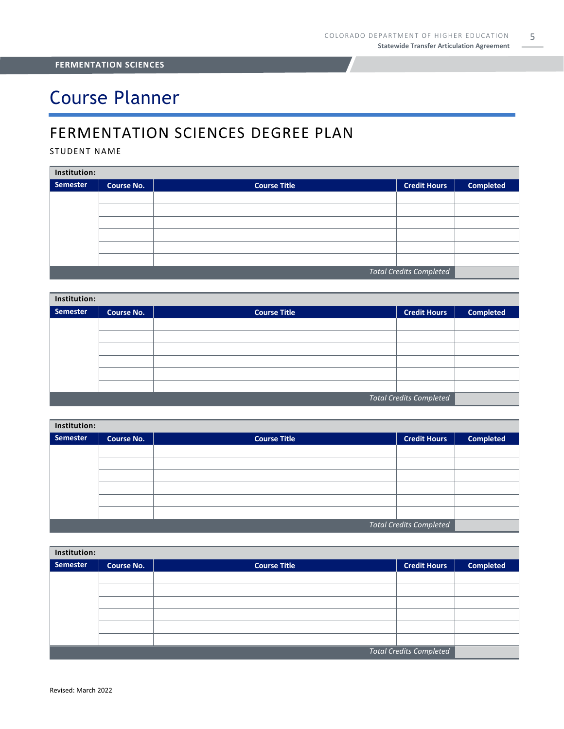# Course Planner

### FERMENTATION SCIENCES DEGREE PLAN

#### STUDENT NAME

| Institution:                   |                   |                     |                     |                  |  |
|--------------------------------|-------------------|---------------------|---------------------|------------------|--|
| Semester                       | <b>Course No.</b> | <b>Course Title</b> | <b>Credit Hours</b> | <b>Completed</b> |  |
|                                |                   |                     |                     |                  |  |
|                                |                   |                     |                     |                  |  |
|                                |                   |                     |                     |                  |  |
|                                |                   |                     |                     |                  |  |
|                                |                   |                     |                     |                  |  |
|                                |                   |                     |                     |                  |  |
| <b>Total Credits Completed</b> |                   |                     |                     |                  |  |

| Institution:                   |                   |                     |                     |                  |  |
|--------------------------------|-------------------|---------------------|---------------------|------------------|--|
| Semester                       | <b>Course No.</b> | <b>Course Title</b> | <b>Credit Hours</b> | <b>Completed</b> |  |
|                                |                   |                     |                     |                  |  |
|                                |                   |                     |                     |                  |  |
|                                |                   |                     |                     |                  |  |
|                                |                   |                     |                     |                  |  |
|                                |                   |                     |                     |                  |  |
|                                |                   |                     |                     |                  |  |
| <b>Total Credits Completed</b> |                   |                     |                     |                  |  |

| Institution:                   |                   |                     |                     |                  |  |
|--------------------------------|-------------------|---------------------|---------------------|------------------|--|
| Semester                       | <b>Course No.</b> | <b>Course Title</b> | <b>Credit Hours</b> | <b>Completed</b> |  |
|                                |                   |                     |                     |                  |  |
|                                |                   |                     |                     |                  |  |
|                                |                   |                     |                     |                  |  |
|                                |                   |                     |                     |                  |  |
|                                |                   |                     |                     |                  |  |
|                                |                   |                     |                     |                  |  |
| <b>Total Credits Completed</b> |                   |                     |                     |                  |  |

| Institution:            |                   |                     |                     |                  |  |
|-------------------------|-------------------|---------------------|---------------------|------------------|--|
| Semester                | <b>Course No.</b> | <b>Course Title</b> | <b>Credit Hours</b> | <b>Completed</b> |  |
|                         |                   |                     |                     |                  |  |
|                         |                   |                     |                     |                  |  |
|                         |                   |                     |                     |                  |  |
|                         |                   |                     |                     |                  |  |
|                         |                   |                     |                     |                  |  |
|                         |                   |                     |                     |                  |  |
| Total Credits Completed |                   |                     |                     |                  |  |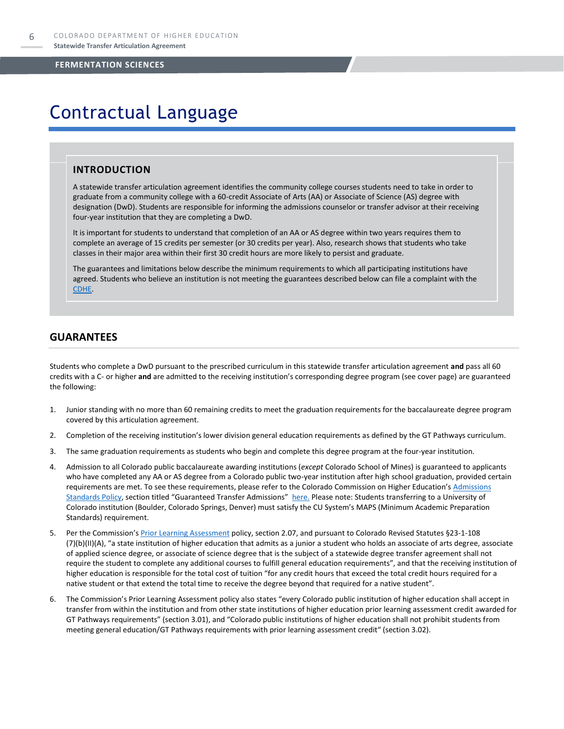### Contractual Language

#### **INTRODUCTION**

A statewide transfer articulation agreement identifies the community college courses students need to take in order to graduate from a community college with a 60-credit Associate of Arts (AA) or Associate of Science (AS) degree with designation (DwD). Students are responsible for informing the admissions counselor or transfer advisor at their receiving four-year institution that they are completing a DwD.

It is important for students to understand that completion of an AA or AS degree within two years requires them to complete an average of 15 credits per semester (or 30 credits per year). Also, research shows that students who take classes in their major area within their first 30 credit hours are more likely to persist and graduate.

The guarantees and limitations below describe the minimum requirements to which all participating institutions have agreed. Students who believe an institution is not meeting the guarantees described below can file a complaint with the [CDHE.](https://highered.colorado.gov/filing-student-complaint)

#### **GUARANTEES**

Students who complete a DwD pursuant to the prescribed curriculum in this statewide transfer articulation agreement **and** pass all 60 credits with a C- or higher **and** are admitted to the receiving institution's corresponding degree program (see cover page) are guaranteed the following:

- 1. Junior standing with no more than 60 remaining credits to meet the graduation requirements for the baccalaureate degree program covered by this articulation agreement.
- 2. Completion of the receiving institution's lower division general education requirements as defined by the GT Pathways curriculum.
- 3. The same graduation requirements as students who begin and complete this degree program at the four-year institution.
- 4. Admission to all Colorado public baccalaureate awarding institutions (*except* Colorado School of Mines) is guaranteed to applicants who have completed any AA or AS degree from a Colorado public two-year institution after high school graduation, provided certain requirements are met. To see these requirements, please refer to the Colorado Commission on Higher Education's Admissions [Standards Policy](https://highered.colorado.gov/sites/highered/files/2020-03/i-partf_0.pdf), section titled "Guaranteed Transfer Admissions" [here.](https://highered.colorado.gov/educators/policy-funding/cche-policies-procedures) Please note: Students transferring to a University of Colorado institution (Boulder, Colorado Springs, Denver) must satisfy the CU System's MAPS (Minimum Academic Preparation Standards) requirement.
- 5. Per the Commission's [Prior Learning Assessment](https://highered.colorado.gov/sites/highered/files/2020-03/i-partx.pdf) policy, section 2.07, and pursuant to Colorado Revised Statutes §23-1-108 (7)(b)(II)(A), "a state institution of higher education that admits as a junior a student who holds an associate of arts degree, associate of applied science degree, or associate of science degree that is the subject of a statewide degree transfer agreement shall not require the student to complete any additional courses to fulfill general education requirements", and that the receiving institution of higher education is responsible for the total cost of tuition "for any credit hours that exceed the total credit hours required for a native student or that extend the total time to receive the degree beyond that required for a native student".
- 6. The Commission's Prior Learning Assessment policy also states "every Colorado public institution of higher education shall accept in transfer from within the institution and from other state institutions of higher education prior learning assessment credit awarded for GT Pathways requirements" (section 3.01), and "Colorado public institutions of higher education shall not prohibit students from meeting general education/GT Pathways requirements with prior learning assessment credit" (section 3.02).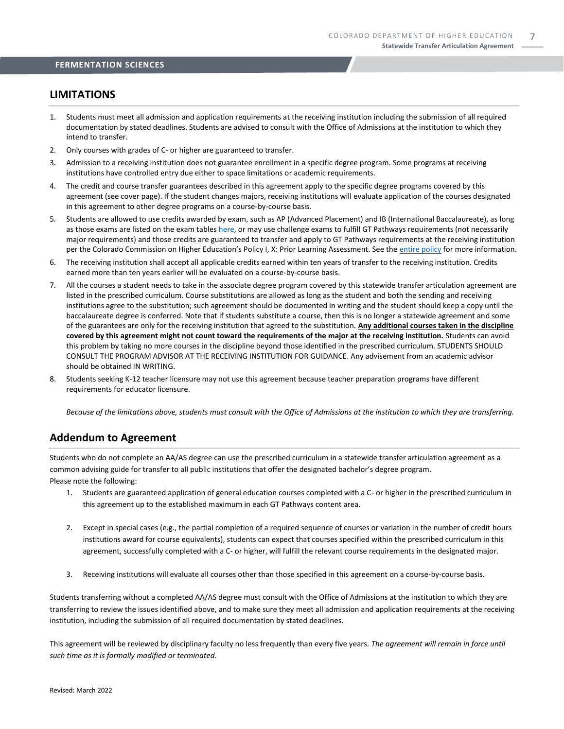#### **LIMITATIONS**

- 1. Students must meet all admission and application requirements at the receiving institution including the submission of all required documentation by stated deadlines. Students are advised to consult with the Office of Admissions at the institution to which they intend to transfer.
- 2. Only courses with grades of C- or higher are guaranteed to transfer.
- 3. Admission to a receiving institution does not guarantee enrollment in a specific degree program. Some programs at receiving institutions have controlled entry due either to space limitations or academic requirements.
- 4. The credit and course transfer guarantees described in this agreement apply to the specific degree programs covered by this agreement (see cover page). If the student changes majors, receiving institutions will evaluate application of the courses designated in this agreement to other degree programs on a course-by-course basis.
- 5. Students are allowed to use credits awarded by exam, such as AP (Advanced Placement) and IB (International Baccalaureate), as long as those exams are listed on the exam table[s here,](https://highered.colorado.gov/get-credit-for-what-you-already-know) or may use challenge exams to fulfill GT Pathways requirements (not necessarily major requirements) and those credits are guaranteed to transfer and apply to GT Pathways requirements at the receiving institution per the Colorado Commission on Higher Education's Policy I, X: Prior Learning Assessment. See the [entire policy](https://highered.colorado.gov/sites/highered/files/2020-03/i-partx.pdf) for more information.
- 6. The receiving institution shall accept all applicable credits earned within ten years of transfer to the receiving institution. Credits earned more than ten years earlier will be evaluated on a course-by-course basis.
- 7. All the courses a student needs to take in the associate degree program covered by this statewide transfer articulation agreement are listed in the prescribed curriculum. Course substitutions are allowed as long as the student and both the sending and receiving institutions agree to the substitution; such agreement should be documented in writing and the student should keep a copy until the baccalaureate degree is conferred. Note that if students substitute a course, then this is no longer a statewide agreement and some of the guarantees are only for the receiving institution that agreed to the substitution. **Any additional courses taken in the discipline covered by this agreement might not count toward the requirements of the major at the receiving institution.** Students can avoid this problem by taking no more courses in the discipline beyond those identified in the prescribed curriculum. STUDENTS SHOULD CONSULT THE PROGRAM ADVISOR AT THE RECEIVING INSTITUTION FOR GUIDANCE. Any advisement from an academic advisor should be obtained IN WRITING.
- 8. Students seeking K-12 teacher licensure may not use this agreement because teacher preparation programs have different requirements for educator licensure.

*Because of the limitations above, students must consult with the Office of Admissions at the institution to which they are transferring.*

#### **Addendum to Agreement**

Students who do not complete an AA/AS degree can use the prescribed curriculum in a statewide transfer articulation agreement as a common advising guide for transfer to all public institutions that offer the designated bachelor's degree program. Please note the following:

- 1. Students are guaranteed application of general education courses completed with a C- or higher in the prescribed curriculum in this agreement up to the established maximum in each GT Pathways content area.
- 2. Except in special cases (e.g., the partial completion of a required sequence of courses or variation in the number of credit hours institutions award for course equivalents), students can expect that courses specified within the prescribed curriculum in this agreement, successfully completed with a C- or higher, will fulfill the relevant course requirements in the designated major.
- 3. Receiving institutions will evaluate all courses other than those specified in this agreement on a course-by-course basis.

Students transferring without a completed AA/AS degree must consult with the Office of Admissions at the institution to which they are transferring to review the issues identified above, and to make sure they meet all admission and application requirements at the receiving institution, including the submission of all required documentation by stated deadlines.

This agreement will be reviewed by disciplinary faculty no less frequently than every five years. *The agreement will remain in force until such time as it is formally modified or terminated.*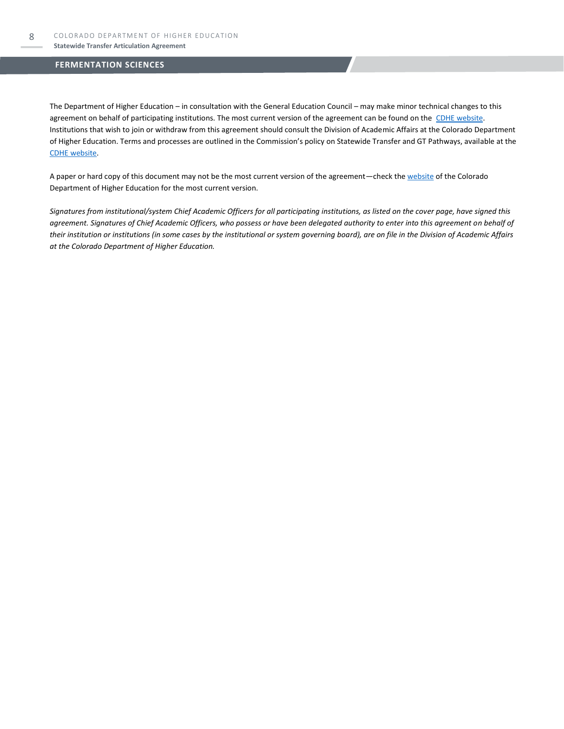The Department of Higher Education – in consultation with the General Education Council – may make minor technical changes to this agreement on behalf of participating institutions. The most current version of the agreement can be found on the [CDHE website.](https://highered.colorado.gov/transfer-degrees) Institutions that wish to join or withdraw from this agreement should consult the Division of Academic Affairs at the Colorado Department of Higher Education. Terms and processes are outlined in the Commission's policy on Statewide Transfer and GT Pathways, available at the [CDHE website.](https://highered.colorado.gov/educators/policy-funding/general-education-ge-council/gtpathways/transfer-agreements)

A paper or hard copy of this document may not be the most current version of the agreement—check th[e website](https://highered.colorado.gov/transfer-degrees) of the Colorado Department of Higher Education for the most current version.

*Signatures from institutional/system Chief Academic Officers for all participating institutions, as listed on the cover page, have signed this agreement. Signatures of Chief Academic Officers, who possess or have been delegated authority to enter into this agreement on behalf of their institution or institutions (in some cases by the institutional or system governing board), are on file in the Division of Academic Affairs at the Colorado Department of Higher Education.*